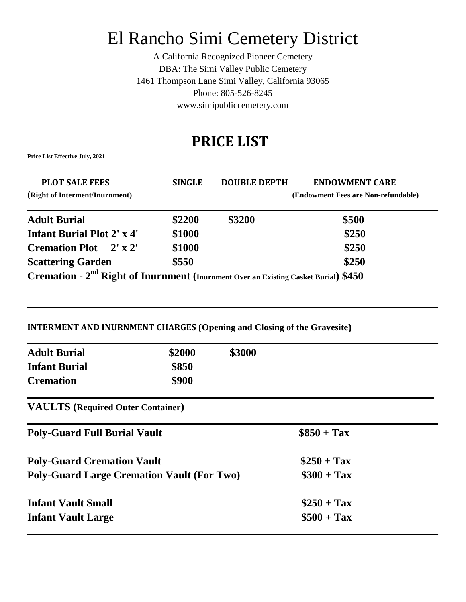# El Rancho Simi Cemetery District

A California Recognized Pioneer Cemetery DBA: The Simi Valley Public Cemetery 1461 Thompson Lane Simi Valley, California 93065 Phone: 805-526-8245 www.simipubliccemetery.com

## **PRICE LIST**

**\_\_\_\_\_\_\_\_\_\_\_\_\_\_\_\_\_\_\_\_\_\_\_\_\_\_\_\_\_\_\_\_\_\_\_\_\_\_\_\_\_\_\_\_\_\_\_\_\_\_\_\_\_\_\_\_\_\_\_\_\_\_\_\_\_\_\_\_\_\_\_\_\_\_\_\_\_\_\_\_\_\_\_\_\_\_\_\_\_\_\_\_\_\_\_\_\_\_\_\_\_\_\_\_\_\_\_\_\_\_\_\_\_\_\_\_\_\_\_\_\_\_\_\_\_\_\_\_\_\_\_\_\_\_\_**

**Price List Effective July, 2021**

| <b>PLOT SALE FEES</b><br>(Right of Interment/Inurnment)                                         | <b>SINGLE</b> | <b>DOUBLE DEPTH</b> | <b>ENDOWMENT CARE</b><br>(Endowment Fees are Non-refundable) |  |  |
|-------------------------------------------------------------------------------------------------|---------------|---------------------|--------------------------------------------------------------|--|--|
| <b>Adult Burial</b>                                                                             | \$2200        | \$3200              | \$500                                                        |  |  |
| <b>Infant Burial Plot 2' x 4'</b>                                                               | \$1000        |                     | \$250                                                        |  |  |
| <b>Cremation Plot</b> 2' x 2'                                                                   | \$1000        |                     | \$250                                                        |  |  |
| <b>Scattering Garden</b>                                                                        | \$550         |                     | \$250                                                        |  |  |
| Cremation - 2 <sup>nd</sup> Right of Inurnment (Inurnment Over an Existing Casket Burial) \$450 |               |                     |                                                              |  |  |

### **INTERMENT AND INURNMENT CHARGES (Opening and Closing of the Gravesite)**

| <b>Adult Burial</b>  | \$2000 | \$3000 |
|----------------------|--------|--------|
| <b>Infant Burial</b> | \$850  |        |
| <b>Cremation</b>     | \$900  |        |

 $\mathcal{L}_\mathcal{L} = \mathcal{L}_\mathcal{L} = \mathcal{L}_\mathcal{L} = \mathcal{L}_\mathcal{L} = \mathcal{L}_\mathcal{L} = \mathcal{L}_\mathcal{L} = \mathcal{L}_\mathcal{L} = \mathcal{L}_\mathcal{L} = \mathcal{L}_\mathcal{L} = \mathcal{L}_\mathcal{L} = \mathcal{L}_\mathcal{L} = \mathcal{L}_\mathcal{L} = \mathcal{L}_\mathcal{L} = \mathcal{L}_\mathcal{L} = \mathcal{L}_\mathcal{L} = \mathcal{L}_\mathcal{L} = \mathcal{L}_\mathcal{L}$ 

**VAULTS (Required Outer Container)**

| <b>Poly-Guard Full Burial Vault</b>               | $\$850 + Tax$ |  |
|---------------------------------------------------|---------------|--|
| <b>Poly-Guard Cremation Vault</b>                 | $\$250 + Tax$ |  |
| <b>Poly-Guard Large Cremation Vault (For Two)</b> | $\$300 + Tax$ |  |
| <b>Infant Vault Small</b>                         | $$250 + Tax$  |  |
| <b>Infant Vault Large</b>                         | $\$500 + Tax$ |  |
|                                                   |               |  |